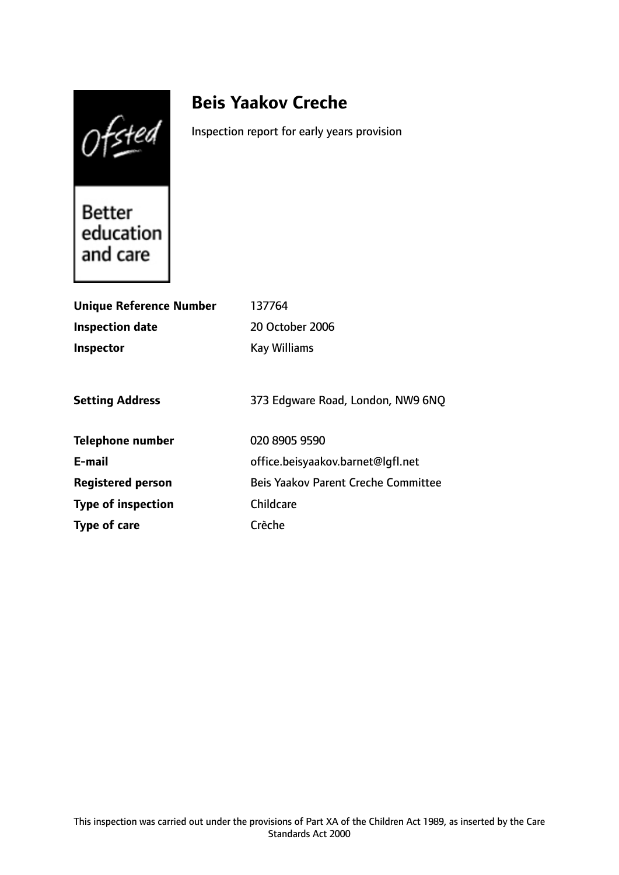Ofsted

# **Beis Yaakov Creche**

Inspection report for early years provision

Better<br>education and care

| <b>Unique Reference Number</b> | 137764                                     |
|--------------------------------|--------------------------------------------|
| <b>Inspection date</b>         | 20 October 2006                            |
| <b>Inspector</b>               | <b>Kay Williams</b>                        |
|                                |                                            |
| <b>Setting Address</b>         | 373 Edgware Road, London, NW9 6NQ          |
| <b>Telephone number</b>        | 020 8905 9590                              |
| E-mail                         | office.beisyaakov.barnet@lqfl.net          |
| <b>Registered person</b>       | <b>Beis Yaakov Parent Creche Committee</b> |
| <b>Type of inspection</b>      | Childcare                                  |
| Type of care                   | Crèche                                     |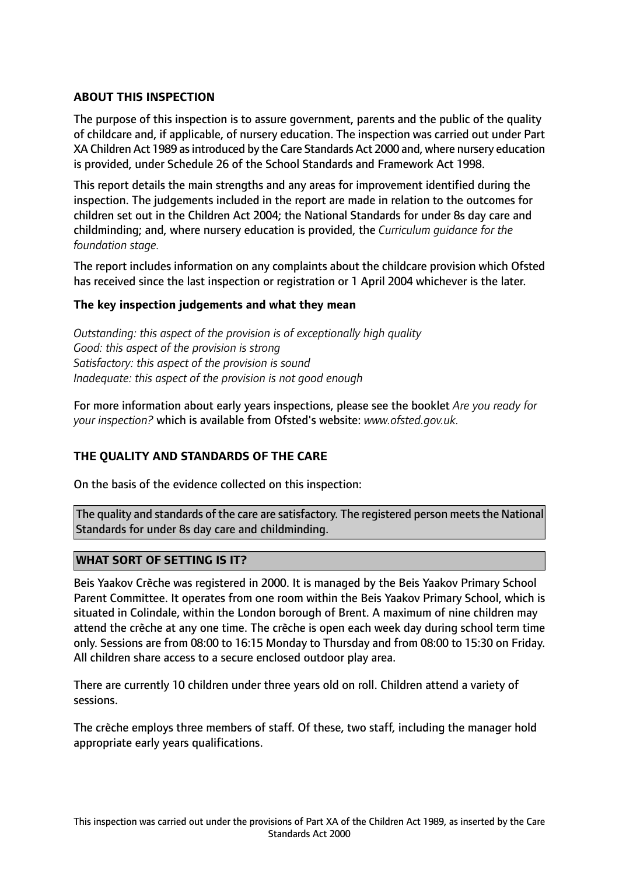# **ABOUT THIS INSPECTION**

The purpose of this inspection is to assure government, parents and the public of the quality of childcare and, if applicable, of nursery education. The inspection was carried out under Part XA Children Act 1989 asintroduced by the Care Standards Act 2000 and, where nursery education is provided, under Schedule 26 of the School Standards and Framework Act 1998.

This report details the main strengths and any areas for improvement identified during the inspection. The judgements included in the report are made in relation to the outcomes for children set out in the Children Act 2004; the National Standards for under 8s day care and childminding; and, where nursery education is provided, the *Curriculum guidance for the foundation stage.*

The report includes information on any complaints about the childcare provision which Ofsted has received since the last inspection or registration or 1 April 2004 whichever is the later.

## **The key inspection judgements and what they mean**

*Outstanding: this aspect of the provision is of exceptionally high quality Good: this aspect of the provision is strong Satisfactory: this aspect of the provision is sound Inadequate: this aspect of the provision is not good enough*

For more information about early years inspections, please see the booklet *Are you ready for your inspection?* which is available from Ofsted's website: *www.ofsted.gov.uk.*

## **THE QUALITY AND STANDARDS OF THE CARE**

On the basis of the evidence collected on this inspection:

The quality and standards of the care are satisfactory. The registered person meets the National Standards for under 8s day care and childminding.

## **WHAT SORT OF SETTING IS IT?**

Beis Yaakov Crèche was registered in 2000. It is managed by the Beis Yaakov Primary School Parent Committee. It operates from one room within the Beis Yaakov Primary School, which is situated in Colindale, within the London borough of Brent. A maximum of nine children may attend the crèche at any one time. The crèche is open each week day during school term time only. Sessions are from 08:00 to 16:15 Monday to Thursday and from 08:00 to 15:30 on Friday. All children share access to a secure enclosed outdoor play area.

There are currently 10 children under three years old on roll. Children attend a variety of sessions.

The crèche employs three members of staff. Of these, two staff, including the manager hold appropriate early years qualifications.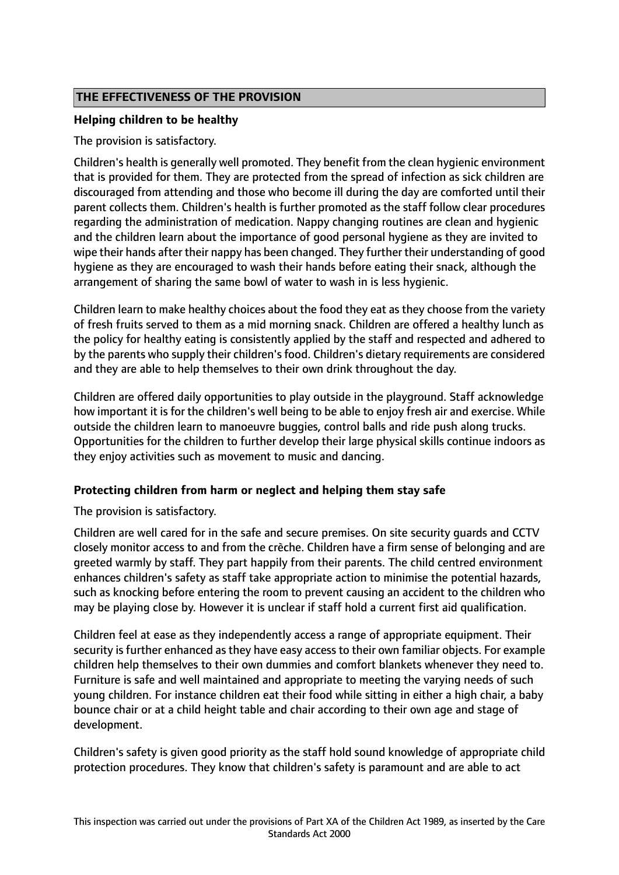# **THE EFFECTIVENESS OF THE PROVISION**

# **Helping children to be healthy**

The provision is satisfactory.

Children's health is generally well promoted. They benefit from the clean hygienic environment that is provided for them. They are protected from the spread of infection as sick children are discouraged from attending and those who become ill during the day are comforted until their parent collects them. Children's health is further promoted as the staff follow clear procedures regarding the administration of medication. Nappy changing routines are clean and hygienic and the children learn about the importance of good personal hygiene as they are invited to wipe their hands after their nappy has been changed. They further their understanding of good hygiene as they are encouraged to wash their hands before eating their snack, although the arrangement of sharing the same bowl of water to wash in is less hygienic.

Children learn to make healthy choices about the food they eat as they choose from the variety of fresh fruits served to them as a mid morning snack. Children are offered a healthy lunch as the policy for healthy eating is consistently applied by the staff and respected and adhered to by the parents who supply their children's food. Children's dietary requirements are considered and they are able to help themselves to their own drink throughout the day.

Children are offered daily opportunities to play outside in the playground. Staff acknowledge how important it is for the children's well being to be able to enjoy fresh air and exercise. While outside the children learn to manoeuvre buggies, control balls and ride push along trucks. Opportunities for the children to further develop their large physical skills continue indoors as they enjoy activities such as movement to music and dancing.

## **Protecting children from harm or neglect and helping them stay safe**

The provision is satisfactory.

Children are well cared for in the safe and secure premises. On site security guards and CCTV closely monitor access to and from the crèche. Children have a firm sense of belonging and are greeted warmly by staff. They part happily from their parents. The child centred environment enhances children's safety as staff take appropriate action to minimise the potential hazards, such as knocking before entering the room to prevent causing an accident to the children who may be playing close by. However it is unclear if staff hold a current first aid qualification.

Children feel at ease as they independently access a range of appropriate equipment. Their security is further enhanced as they have easy access to their own familiar objects. For example children help themselves to their own dummies and comfort blankets whenever they need to. Furniture is safe and well maintained and appropriate to meeting the varying needs of such young children. For instance children eat their food while sitting in either a high chair, a baby bounce chair or at a child height table and chair according to their own age and stage of development.

Children's safety is given good priority as the staff hold sound knowledge of appropriate child protection procedures. They know that children's safety is paramount and are able to act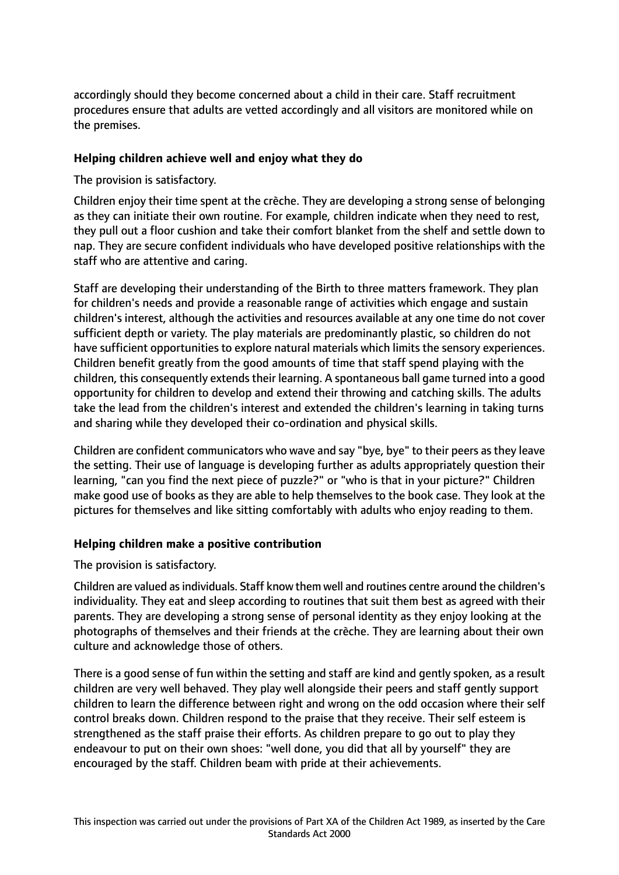accordingly should they become concerned about a child in their care. Staff recruitment procedures ensure that adults are vetted accordingly and all visitors are monitored while on the premises.

## **Helping children achieve well and enjoy what they do**

# The provision is satisfactory.

Children enjoy their time spent at the crèche. They are developing a strong sense of belonging as they can initiate their own routine. For example, children indicate when they need to rest, they pull out a floor cushion and take their comfort blanket from the shelf and settle down to nap. They are secure confident individuals who have developed positive relationships with the staff who are attentive and caring.

Staff are developing their understanding of the Birth to three matters framework. They plan for children's needs and provide a reasonable range of activities which engage and sustain children's interest, although the activities and resources available at any one time do not cover sufficient depth or variety. The play materials are predominantly plastic, so children do not have sufficient opportunities to explore natural materials which limits the sensory experiences. Children benefit greatly from the good amounts of time that staff spend playing with the children, this consequently extends their learning. A spontaneous ball game turned into a good opportunity for children to develop and extend their throwing and catching skills. The adults take the lead from the children's interest and extended the children's learning in taking turns and sharing while they developed their co-ordination and physical skills.

Children are confident communicators who wave and say "bye, bye" to their peers as they leave the setting. Their use of language is developing further as adults appropriately question their learning, "can you find the next piece of puzzle?" or "who is that in your picture?" Children make good use of books as they are able to help themselves to the book case. They look at the pictures for themselves and like sitting comfortably with adults who enjoy reading to them.

# **Helping children make a positive contribution**

The provision is satisfactory.

Children are valued asindividuals. Staff know them well and routines centre around the children's individuality. They eat and sleep according to routines that suit them best as agreed with their parents. They are developing a strong sense of personal identity as they enjoy looking at the photographs of themselves and their friends at the crèche. They are learning about their own culture and acknowledge those of others.

There is a good sense of fun within the setting and staff are kind and gently spoken, as a result children are very well behaved. They play well alongside their peers and staff gently support children to learn the difference between right and wrong on the odd occasion where their self control breaks down. Children respond to the praise that they receive. Their self esteem is strengthened as the staff praise their efforts. As children prepare to go out to play they endeavour to put on their own shoes: "well done, you did that all by yourself" they are encouraged by the staff. Children beam with pride at their achievements.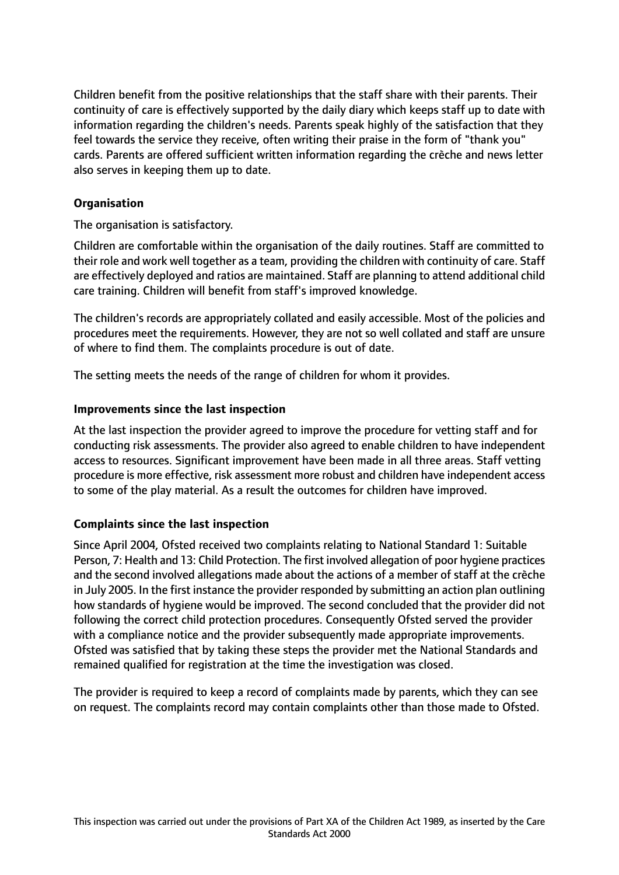Children benefit from the positive relationships that the staff share with their parents. Their continuity of care is effectively supported by the daily diary which keeps staff up to date with information regarding the children's needs. Parents speak highly of the satisfaction that they feel towards the service they receive, often writing their praise in the form of "thank you" cards. Parents are offered sufficient written information regarding the crèche and news letter also serves in keeping them up to date.

# **Organisation**

The organisation is satisfactory.

Children are comfortable within the organisation of the daily routines. Staff are committed to their role and work well together as a team, providing the children with continuity of care. Staff are effectively deployed and ratios are maintained. Staff are planning to attend additional child care training. Children will benefit from staff's improved knowledge.

The children's records are appropriately collated and easily accessible. Most of the policies and procedures meet the requirements. However, they are not so well collated and staff are unsure of where to find them. The complaints procedure is out of date.

The setting meets the needs of the range of children for whom it provides.

#### **Improvements since the last inspection**

At the last inspection the provider agreed to improve the procedure for vetting staff and for conducting risk assessments. The provider also agreed to enable children to have independent access to resources. Significant improvement have been made in all three areas. Staff vetting procedure is more effective, risk assessment more robust and children have independent access to some of the play material. As a result the outcomes for children have improved.

## **Complaints since the last inspection**

Since April 2004, Ofsted received two complaints relating to National Standard 1: Suitable Person, 7: Health and 13: Child Protection. The first involved allegation of poor hygiene practices and the second involved allegations made about the actions of a member of staff at the crèche in July 2005. In the first instance the provider responded by submitting an action plan outlining how standards of hygiene would be improved. The second concluded that the provider did not following the correct child protection procedures. Consequently Ofsted served the provider with a compliance notice and the provider subsequently made appropriate improvements. Ofsted was satisfied that by taking these steps the provider met the National Standards and remained qualified for registration at the time the investigation was closed.

The provider is required to keep a record of complaints made by parents, which they can see on request. The complaints record may contain complaints other than those made to Ofsted.